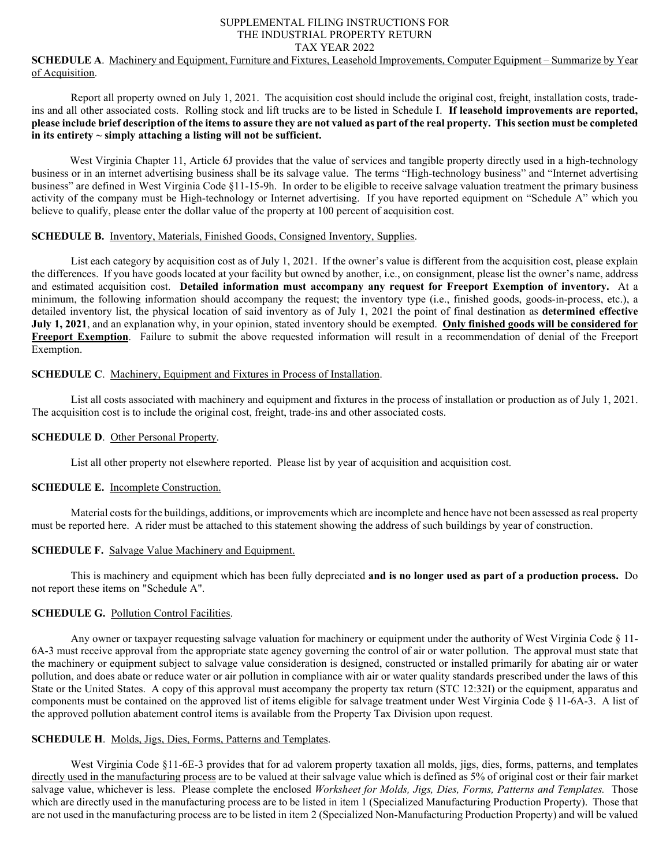#### SUPPLEMENTAL FILING INSTRUCTIONS FOR THE INDUSTRIAL PROPERTY RETURN TAX YEAR 2022

# **SCHEDULE A**. Machinery and Equipment, Furniture and Fixtures, Leasehold Improvements, Computer Equipment – Summarize by Year of Acquisition.

Report all property owned on July 1, 2021. The acquisition cost should include the original cost, freight, installation costs, tradeins and all other associated costs. Rolling stock and lift trucks are to be listed in Schedule I. **If leasehold improvements are reported, please include brief description of the items to assure they are not valued as part of the real property. This section must be completed in its entirety ~ simply attaching a listing will not be sufficient.**

West Virginia Chapter 11, Article 6J provides that the value of services and tangible property directly used in a high-technology business or in an internet advertising business shall be its salvage value. The terms "High-technology business" and "Internet advertising business" are defined in West Virginia Code §11-15-9h. In order to be eligible to receive salvage valuation treatment the primary business activity of the company must be High-technology or Internet advertising. If you have reported equipment on "Schedule A" which you believe to qualify, please enter the dollar value of the property at 100 percent of acquisition cost.

#### **SCHEDULE B.** Inventory, Materials, Finished Goods, Consigned Inventory, Supplies.

List each category by acquisition cost as of July 1, 2021. If the owner's value is different from the acquisition cost, please explain the differences. If you have goods located at your facility but owned by another, i.e., on consignment, please list the owner's name, address and estimated acquisition cost. **Detailed information must accompany any request for Freeport Exemption of inventory.** At a minimum, the following information should accompany the request; the inventory type (i.e., finished goods, goods-in-process, etc.), a detailed inventory list, the physical location of said inventory as of July 1, 2021 the point of final destination as **determined effective July 1, 2021**, and an explanation why, in your opinion, stated inventory should be exempted. **Only finished goods will be considered for Freeport Exemption**. Failure to submit the above requested information will result in a recommendation of denial of the Freeport Exemption.

#### **SCHEDULE C**. Machinery, Equipment and Fixtures in Process of Installation.

List all costs associated with machinery and equipment and fixtures in the process of installation or production as of July 1, 2021. The acquisition cost is to include the original cost, freight, trade-ins and other associated costs.

#### **SCHEDULE D.** Other Personal Property.

List all other property not elsewhere reported. Please list by year of acquisition and acquisition cost.

# **SCHEDULE E.** Incomplete Construction.

Material costs for the buildings, additions, or improvements which are incomplete and hence have not been assessed as real property must be reported here. A rider must be attached to this statement showing the address of such buildings by year of construction.

### **SCHEDULE F.** Salvage Value Machinery and Equipment.

This is machinery and equipment which has been fully depreciated **and is no longer used as part of a production process.** Do not report these items on "Schedule A".

# **SCHEDULE G. Pollution Control Facilities.**

Any owner or taxpayer requesting salvage valuation for machinery or equipment under the authority of West Virginia Code § 11- 6A-3 must receive approval from the appropriate state agency governing the control of air or water pollution. The approval must state that the machinery or equipment subject to salvage value consideration is designed, constructed or installed primarily for abating air or water pollution, and does abate or reduce water or air pollution in compliance with air or water quality standards prescribed under the laws of this State or the United States. A copy of this approval must accompany the property tax return (STC 12:32I) or the equipment, apparatus and components must be contained on the approved list of items eligible for salvage treatment under West Virginia Code § 11-6A-3. A list of the approved pollution abatement control items is available from the Property Tax Division upon request.

### **SCHEDULE H**. Molds, Jigs, Dies, Forms, Patterns and Templates.

West Virginia Code §11-6E-3 provides that for ad valorem property taxation all molds, jigs, dies, forms, patterns, and templates directly used in the manufacturing process are to be valued at their salvage value which is defined as 5% of original cost or their fair market salvage value, whichever is less. Please complete the enclosed *Worksheet for Molds, Jigs, Dies, Forms, Patterns and Templates.* Those which are directly used in the manufacturing process are to be listed in item 1 (Specialized Manufacturing Production Property). Those that are not used in the manufacturing process are to be listed in item 2 (Specialized Non-Manufacturing Production Property) and will be valued